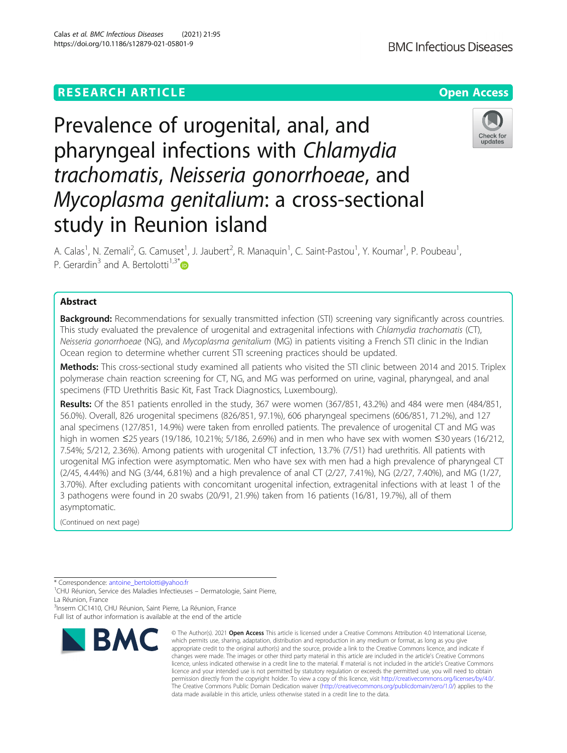# **RESEARCH ARTICLE Example 2014 12:30 The Contract of Contract ACCESS**

# Prevalence of urogenital, anal, and pharyngeal infections with Chlamydia trachomatis, Neisseria gonorrhoeae, and Mycoplasma genitalium: a cross-sectional study in Reunion island

A. Calas<sup>1</sup>, N. Zemali<sup>2</sup>, G. Camuset<sup>1</sup>, J. Jaubert<sup>2</sup>, R. Manaquin<sup>1</sup>, C. Saint-Pastou<sup>1</sup>, Y. Koumar<sup>1</sup>, P. Poubeau<sup>1</sup> , P. Gerardin<sup>3</sup> and A. Bertolotti<sup>1,3[\\*](http://orcid.org/0000-0003-3962-8869)</sup>

# Abstract

**Background:** Recommendations for sexually transmitted infection (STI) screening vary significantly across countries. This study evaluated the prevalence of urogenital and extragenital infections with Chlamydia trachomatis (CT), Neisseria gonorrhoeae (NG), and Mycoplasma genitalium (MG) in patients visiting a French STI clinic in the Indian Ocean region to determine whether current STI screening practices should be updated.

Methods: This cross-sectional study examined all patients who visited the STI clinic between 2014 and 2015. Triplex polymerase chain reaction screening for CT, NG, and MG was performed on urine, vaginal, pharyngeal, and anal specimens (FTD Urethritis Basic Kit, Fast Track Diagnostics, Luxembourg).

Results: Of the 851 patients enrolled in the study, 367 were women (367/851, 43.2%) and 484 were men (484/851, 56.0%). Overall, 826 urogenital specimens (826/851, 97.1%), 606 pharyngeal specimens (606/851, 71.2%), and 127 anal specimens (127/851, 14.9%) were taken from enrolled patients. The prevalence of urogenital CT and MG was high in women ≤25 years (19/186, 10.21%; 5/186, 2.69%) and in men who have sex with women ≤30 years (16/212, 7.54%; 5/212, 2.36%). Among patients with urogenital CT infection, 13.7% (7/51) had urethritis. All patients with urogenital MG infection were asymptomatic. Men who have sex with men had a high prevalence of pharyngeal CT (2/45, 4.44%) and NG (3/44, 6.81%) and a high prevalence of anal CT (2/27, 7.41%), NG (2/27, 7.40%), and MG (1/27, 3.70%). After excluding patients with concomitant urogenital infection, extragenital infections with at least 1 of the 3 pathogens were found in 20 swabs (20/91, 21.9%) taken from 16 patients (16/81, 19.7%), all of them asymptomatic.

(Continued on next page)

<sup>3</sup>Inserm CIC1410, CHU Réunion, Saint Pierre, La Réunion, France Full list of author information is available at the end of the article



© The Author(s), 2021 **Open Access** This article is licensed under a Creative Commons Attribution 4.0 International License,







<sup>\*</sup> Correspondence: [antoine\\_bertolotti@yahoo.fr](mailto:antoine_bertolotti@yahoo.fr)<br><sup>1</sup>CHU Réunion, Service des Maladies Infectieuses – Dermatologie, Saint Pierre, La Réunion, France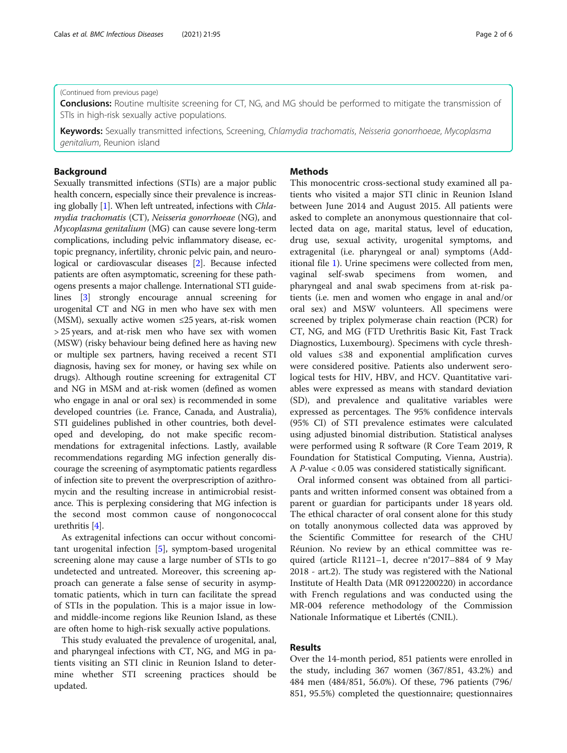**Conclusions:** Routine multisite screening for CT, NG, and MG should be performed to mitigate the transmission of STIs in high-risk sexually active populations.

Keywords: Sexually transmitted infections, Screening, Chlamydia trachomatis, Neisseria gonorrhoeae, Mycoplasma genitalium, Reunion island

# Background

Sexually transmitted infections (STIs) are a major public health concern, especially since their prevalence is increas-ing globally [\[1\]](#page-5-0). When left untreated, infections with Chlamydia trachomatis (CT), Neisseria gonorrhoeae (NG), and Mycoplasma genitalium (MG) can cause severe long-term complications, including pelvic inflammatory disease, ectopic pregnancy, infertility, chronic pelvic pain, and neurological or cardiovascular diseases [[2](#page-5-0)]. Because infected patients are often asymptomatic, screening for these pathogens presents a major challenge. International STI guidelines [\[3](#page-5-0)] strongly encourage annual screening for urogenital CT and NG in men who have sex with men (MSM), sexually active women  $\leq$ 25 years, at-risk women > 25 years, and at-risk men who have sex with women (MSW) (risky behaviour being defined here as having new or multiple sex partners, having received a recent STI diagnosis, having sex for money, or having sex while on drugs). Although routine screening for extragenital CT and NG in MSM and at-risk women (defined as women who engage in anal or oral sex) is recommended in some developed countries (i.e. France, Canada, and Australia), STI guidelines published in other countries, both developed and developing, do not make specific recommendations for extragenital infections. Lastly, available recommendations regarding MG infection generally discourage the screening of asymptomatic patients regardless of infection site to prevent the overprescription of azithromycin and the resulting increase in antimicrobial resistance. This is perplexing considering that MG infection is the second most common cause of nongonococcal urethritis [\[4\]](#page-5-0).

As extragenital infections can occur without concomitant urogenital infection [[5\]](#page-5-0), symptom-based urogenital screening alone may cause a large number of STIs to go undetected and untreated. Moreover, this screening approach can generate a false sense of security in asymptomatic patients, which in turn can facilitate the spread of STIs in the population. This is a major issue in lowand middle-income regions like Reunion Island, as these are often home to high-risk sexually active populations.

This study evaluated the prevalence of urogenital, anal, and pharyngeal infections with CT, NG, and MG in patients visiting an STI clinic in Reunion Island to determine whether STI screening practices should be updated.

# **Methods**

This monocentric cross-sectional study examined all patients who visited a major STI clinic in Reunion Island between June 2014 and August 2015. All patients were asked to complete an anonymous questionnaire that collected data on age, marital status, level of education, drug use, sexual activity, urogenital symptoms, and extragenital (i.e. pharyngeal or anal) symptoms (Additional file [1\)](#page-4-0). Urine specimens were collected from men, vaginal self-swab specimens from women, and pharyngeal and anal swab specimens from at-risk patients (i.e. men and women who engage in anal and/or oral sex) and MSW volunteers. All specimens were screened by triplex polymerase chain reaction (PCR) for CT, NG, and MG (FTD Urethritis Basic Kit, Fast Track Diagnostics, Luxembourg). Specimens with cycle threshold values ≤38 and exponential amplification curves were considered positive. Patients also underwent serological tests for HIV, HBV, and HCV. Quantitative variables were expressed as means with standard deviation (SD), and prevalence and qualitative variables were expressed as percentages. The 95% confidence intervals (95% CI) of STI prevalence estimates were calculated using adjusted binomial distribution. Statistical analyses were performed using R software (R Core Team 2019, R Foundation for Statistical Computing, Vienna, Austria). A P-value < 0.05 was considered statistically significant.

Oral informed consent was obtained from all participants and written informed consent was obtained from a parent or guardian for participants under 18 years old. The ethical character of oral consent alone for this study on totally anonymous collected data was approved by the Scientific Committee for research of the CHU Réunion. No review by an ethical committee was required (article R1121–1, decree n°2017–884 of 9 May 2018 - art.2). The study was registered with the National Institute of Health Data (MR 0912200220) in accordance with French regulations and was conducted using the MR-004 reference methodology of the Commission Nationale Informatique et Libertés (CNIL).

## Results

Over the 14-month period, 851 patients were enrolled in the study, including 367 women (367/851, 43.2%) and 484 men (484/851, 56.0%). Of these, 796 patients (796/ 851, 95.5%) completed the questionnaire; questionnaires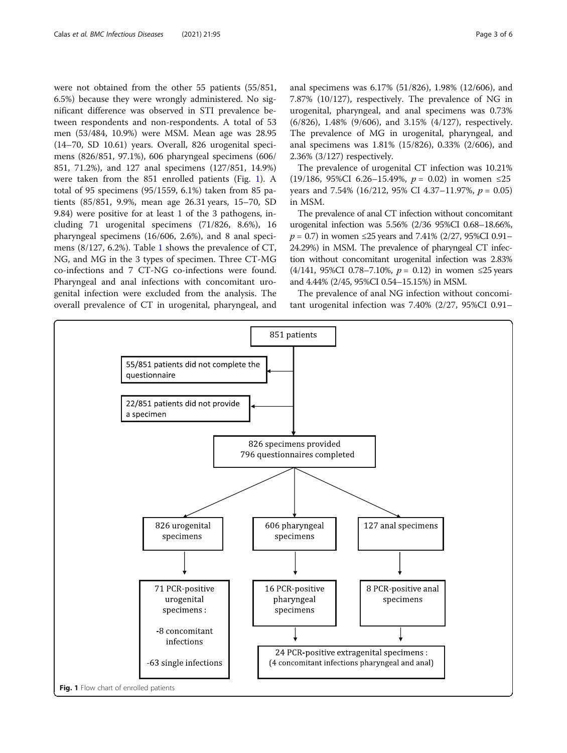were not obtained from the other 55 patients (55/851, 6.5%) because they were wrongly administered. No significant difference was observed in STI prevalence between respondents and non-respondents. A total of 53 men (53/484, 10.9%) were MSM. Mean age was 28.95 (14–70, SD 10.61) years. Overall, 826 urogenital specimens (826/851, 97.1%), 606 pharyngeal specimens (606/ 851, 71.2%), and 127 anal specimens (127/851, 14.9%) were taken from the 851 enrolled patients (Fig. 1). A total of 95 specimens (95/1559, 6.1%) taken from 85 patients (85/851, 9.9%, mean age 26.31 years, 15–70, SD 9.84) were positive for at least 1 of the 3 pathogens, including 71 urogenital specimens (71/826, 8.6%), 16 pharyngeal specimens (16/606, 2.6%), and 8 anal specimens (8/127, 6.2%). Table [1](#page-3-0) shows the prevalence of CT, NG, and MG in the 3 types of specimen. Three CT-MG co-infections and 7 CT-NG co-infections were found. Pharyngeal and anal infections with concomitant urogenital infection were excluded from the analysis. The overall prevalence of CT in urogenital, pharyngeal, and anal specimens was 6.17% (51/826), 1.98% (12/606), and 7.87% (10/127), respectively. The prevalence of NG in urogenital, pharyngeal, and anal specimens was 0.73% (6/826), 1.48% (9/606), and 3.15% (4/127), respectively. The prevalence of MG in urogenital, pharyngeal, and anal specimens was 1.81% (15/826), 0.33% (2/606), and 2.36% (3/127) respectively.

The prevalence of urogenital CT infection was 10.21% (19/186, 95%CI 6.26−15.49%,  $p = 0.02$ ) in women ≤25 years and 7.54% (16/212, 95% CI 4.37–11.97%,  $p = 0.05$ ) in MSM.

The prevalence of anal CT infection without concomitant urogenital infection was 5.56% (2/36 95%CI 0.68–18.66%,  $p = 0.7$ ) in women ≤25 years and 7.41% (2/27, 95%CI 0.91– 24.29%) in MSM. The prevalence of pharyngeal CT infection without concomitant urogenital infection was 2.83% (4/141, 95%CI 0.78–7.10%,  $p = 0.12$ ) in women ≤25 years and 4.44% (2/45, 95%CI 0.54–15.15%) in MSM.

The prevalence of anal NG infection without concomitant urogenital infection was 7.40% (2/27, 95%CI 0.91–

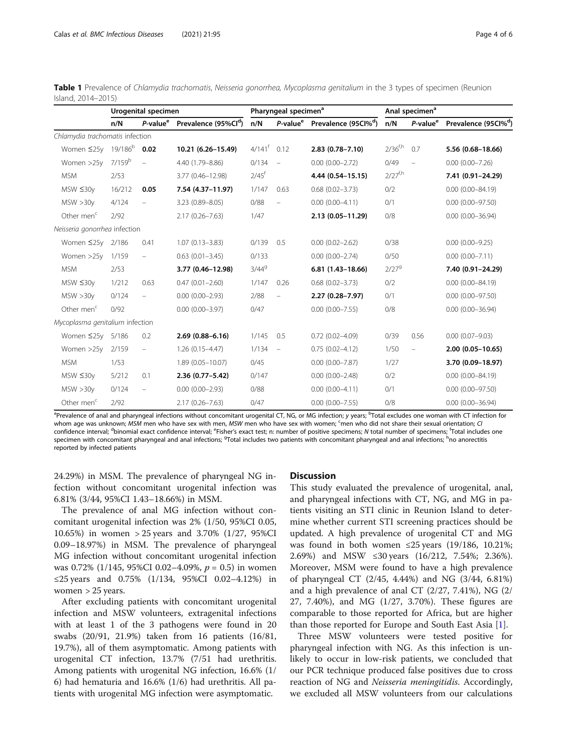|                                 | Urogenital specimen |                          |                                                       |                      | Pharyngeal specimen <sup>a</sup> |                                                       | Anal specimen <sup>a</sup> |                      |                                  |  |
|---------------------------------|---------------------|--------------------------|-------------------------------------------------------|----------------------|----------------------------------|-------------------------------------------------------|----------------------------|----------------------|----------------------------------|--|
|                                 | n/N                 |                          | P-value <sup>e</sup> Prevalence (95%Cl <sup>d</sup> ) | n/N                  |                                  | P-value <sup>e</sup> Prevalence (95Cl% <sup>d</sup> ) | n/N                        | P-value <sup>e</sup> | Prevalence (95Cl% <sup>d</sup> ) |  |
| Chlamydia trachomatis infection |                     |                          |                                                       |                      |                                  |                                                       |                            |                      |                                  |  |
| Women ≤25y                      | 19/186 <sup>b</sup> | 0.02                     | 10.21 (6.26-15.49)                                    | $4/141$ <sup>f</sup> | 0.12                             | $2.83(0.78 - 7.10)$                                   | $2/36^{f,h}$               | 0.7                  | 5.56 (0.68-18.66)                |  |
| Women >25y                      | 7/159 <sup>b</sup>  | $\equiv$                 | 4.40 (1.79 - 8.86)                                    | 0/134                | $\overline{\phantom{a}}$         | $0.00$ $(0.00 - 2.72)$                                | 0/49                       | $\qquad \qquad -$    | $0.00$ $(0.00 - 7.26)$           |  |
| <b>MSM</b>                      | 2/53                |                          | 3.77 (0.46-12.98)                                     | $2/45$ <sup>f</sup>  |                                  | 4.44 (0.54-15.15)                                     | $2/27^{f,h}$               |                      | 7.41 (0.91-24.29)                |  |
| $MSW \leq 30y$                  | 16/212              | 0.05                     | 7.54 (4.37-11.97)                                     | 1/147                | 0.63                             | $0.68$ $(0.02 - 3.73)$                                | 0/2                        |                      | $0.00(0.00 - 84.19)$             |  |
| MSW > 30y                       | 4/124               | $\equiv$                 | 3.23 (0.89-8.05)                                      | 0/88                 | $\overline{\phantom{0}}$         | $0.00(0.00-4.11)$                                     | 0/1                        |                      | $0.00$ $(0.00 - 97.50)$          |  |
| Other men <sup>c</sup>          | 2/92                |                          | $2.17(0.26 - 7.63)$                                   | 1/47                 |                                  | $2.13(0.05 - 11.29)$                                  | 0/8                        |                      | $0.00$ $(0.00 - 36.94)$          |  |
| Neisseria gonorrhea infection   |                     |                          |                                                       |                      |                                  |                                                       |                            |                      |                                  |  |
| Women ≤25y                      | 2/186               | 0.41                     | $1.07(0.13 - 3.83)$                                   | 0/139                | 0.5                              | $0.00(0.02 - 2.62)$                                   | 0/38                       |                      | $0.00(0.00 - 9.25)$              |  |
| Women >25y                      | 1/159               | $\qquad \qquad -$        | $0.63(0.01 - 3.45)$                                   | 0/133                |                                  | $0.00(0.00 - 2.74)$                                   | 0/50                       |                      | $0.00(0.00 - 7.11)$              |  |
| <b>MSM</b>                      | 2/53                |                          | 3.77 (0.46-12.98)                                     | $3/44^{9}$           |                                  | $6.81(1.43-18.66)$                                    | 2/279                      |                      | 7.40 (0.91-24.29)                |  |
| $MSW \leq 30y$                  | 1/212               | 0.63                     | $0.47(0.01 - 2.60)$                                   | 1/147                | 0.26                             | $0.68$ $(0.02 - 3.73)$                                | 0/2                        |                      | $0.00(0.00 - 84.19)$             |  |
| MSW > 30y                       | 0/124               | $\qquad \qquad -$        | $0.00(0.00 - 2.93)$                                   | 2/88                 | $\qquad \qquad -$                | 2.27 (0.28-7.97)                                      | 0/1                        |                      | $0.00$ $(0.00 - 97.50)$          |  |
| Other men $c$                   | 0/92                |                          | $0.00(0.00 - 3.97)$                                   | 0/47                 |                                  | $0.00$ $(0.00 - 7.55)$                                | 0/8                        |                      | $0.00$ $(0.00 - 36.94)$          |  |
| Mycoplasma genitalium infection |                     |                          |                                                       |                      |                                  |                                                       |                            |                      |                                  |  |
| Women ≤25y                      | 5/186               | 0.2                      | $2.69(0.88 - 6.16)$                                   | 1/145                | 0.5                              | $0.72(0.02 - 4.09)$                                   | 0/39                       | 0.56                 | $0.00(0.07 - 9.03)$              |  |
| Women >25y                      | 2/159               | $\overline{\phantom{a}}$ | $1.26(0.15 - 4.47)$                                   | 1/134                | $\overline{\phantom{a}}$         | $0.75(0.02 - 4.12)$                                   | 1/50                       | $\qquad \qquad -$    | $2.00(0.05 - 10.65)$             |  |
| <b>MSM</b>                      | 1/53                |                          | 1.89 (0.05-10.07)                                     | 0/45                 |                                  | $0.00$ $(0.00 - 7.87)$                                | 1/27                       |                      | 3.70 (0.09-18.97)                |  |
| $MSW \leq 30y$                  | 5/212               | 0.1                      | 2.36 (0.77-5.42)                                      | 0/147                |                                  | $0.00$ $(0.00 - 2.48)$                                | 0/2                        |                      | $0.00(0.00 - 84.19)$             |  |
| MSW > 30y                       | 0/124               | $\overline{\phantom{0}}$ | $0.00(0.00 - 2.93)$                                   | 0/88                 |                                  | $0.00(0.00-4.11)$                                     | 0/1                        |                      | $0.00$ $(0.00 - 97.50)$          |  |
| Other men <sup>c</sup>          | 2/92                |                          | $2.17(0.26 - 7.63)$                                   | 0/47                 |                                  | $0.00$ $(0.00 - 7.55)$                                | 0/8                        |                      | $0.00$ $(0.00 - 36.94)$          |  |

<span id="page-3-0"></span>

| Table 1 Prevalence of Chlamydia trachomatis, Neisseria gonorrhea, Mycoplasma genitalium in the 3 types of specimen (Reunion |  |  |  |  |  |
|-----------------------------------------------------------------------------------------------------------------------------|--|--|--|--|--|
| Island, 2014-2015)                                                                                                          |  |  |  |  |  |

<sup>a</sup>Prevalence of anal and pharyngeal infections without concomitant urogenital CT, NG, or MG infection; y years; <sup>b</sup>Total excludes one woman with CT infection for whom age was unknown; *MSM* men who have sex with men, *MSW* men who have sex with women; <sup>c</sup>men who did not share their sexual orientation; C confidence interval; <sup>d</sup>binomial exact confidence interval; <sup>e</sup>Fisher's exact test; n: number of specimens; N total number of specimens; <sup>f</sup>Total includes one specimen with concomitant pharyngeal and anal infections; <sup>9</sup>Total includes two patients with concomitant pharyngeal and anal infections; <sup>h</sup>no anorectitis reported by infected patients

24.29%) in MSM. The prevalence of pharyngeal NG infection without concomitant urogenital infection was 6.81% (3/44, 95%CI 1.43–18.66%) in MSM.

The prevalence of anal MG infection without concomitant urogenital infection was 2% (1/50, 95%CI 0.05, 10.65%) in women > 25 years and 3.70% (1/27, 95%CI 0.09–18.97%) in MSM. The prevalence of pharyngeal MG infection without concomitant urogenital infection was 0.72% (1/145, 95%CI 0.02–4.09%,  $p = 0.5$ ) in women ≤25 years and 0.75% (1/134, 95%CI 0.02–4.12%) in women > 25 years.

After excluding patients with concomitant urogenital infection and MSW volunteers, extragenital infections with at least 1 of the 3 pathogens were found in 20 swabs (20/91, 21.9%) taken from 16 patients (16/81, 19.7%), all of them asymptomatic. Among patients with urogenital CT infection, 13.7% (7/51 had urethritis. Among patients with urogenital NG infection, 16.6% (1/ 6) had hematuria and 16.6% (1/6) had urethritis. All patients with urogenital MG infection were asymptomatic.

#### **Discussion**

This study evaluated the prevalence of urogenital, anal, and pharyngeal infections with CT, NG, and MG in patients visiting an STI clinic in Reunion Island to determine whether current STI screening practices should be updated. A high prevalence of urogenital CT and MG was found in both women ≤25 years (19/186, 10.21%; 2.69%) and MSW ≤30 years (16/212, 7.54%; 2.36%). Moreover, MSM were found to have a high prevalence of pharyngeal CT (2/45, 4.44%) and NG (3/44, 6.81%) and a high prevalence of anal CT (2/27, 7.41%), NG (2/ 27, 7.40%), and MG (1/27, 3.70%). These figures are comparable to those reported for Africa, but are higher than those reported for Europe and South East Asia  $[1]$  $[1]$ .

Three MSW volunteers were tested positive for pharyngeal infection with NG. As this infection is unlikely to occur in low-risk patients, we concluded that our PCR technique produced false positives due to cross reaction of NG and Neisseria meningitidis. Accordingly, we excluded all MSW volunteers from our calculations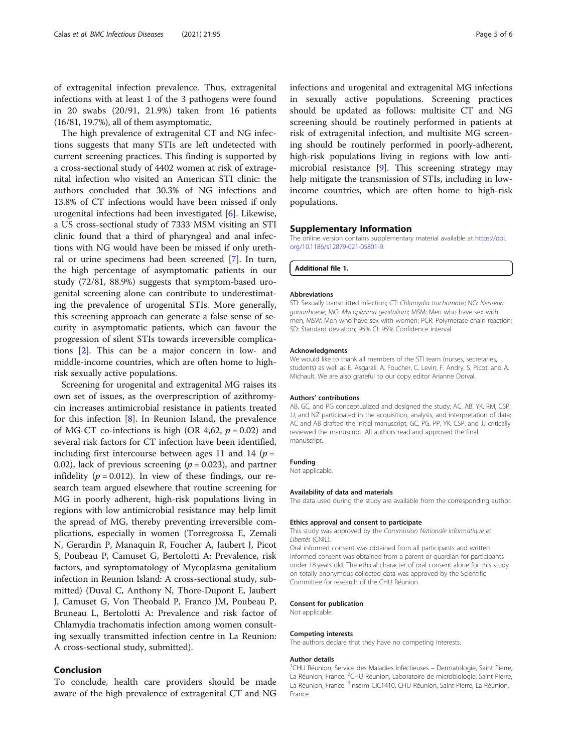<span id="page-4-0"></span>of extragenital infection prevalence. Thus, extragenital infections with at least 1 of the 3 pathogens were found in 20 swabs (20/91, 21.9%) taken from 16 patients (16/81, 19.7%), all of them asymptomatic.

The high prevalence of extragenital CT and NG infections suggests that many STIs are left undetected with current screening practices. This finding is supported by a cross-sectional study of 4402 women at risk of extragenital infection who visited an American STI clinic: the authors concluded that 30.3% of NG infections and 13.8% of CT infections would have been missed if only urogenital infections had been investigated [[6\]](#page-5-0). Likewise, a US cross-sectional study of 7333 MSM visiting an STI clinic found that a third of pharyngeal and anal infections with NG would have been be missed if only urethral or urine specimens had been screened [\[7](#page-5-0)]. In turn, the high percentage of asymptomatic patients in our study (72/81, 88.9%) suggests that symptom-based urogenital screening alone can contribute to underestimating the prevalence of urogenital STIs. More generally, this screening approach can generate a false sense of security in asymptomatic patients, which can favour the progression of silent STIs towards irreversible complications [[2](#page-5-0)]. This can be a major concern in low- and middle-income countries, which are often home to highrisk sexually active populations.

Screening for urogenital and extragenital MG raises its own set of issues, as the overprescription of azithromycin increases antimicrobial resistance in patients treated for this infection [\[8](#page-5-0)]. In Reunion Island, the prevalence of MG-CT co-infections is high (OR 4,62,  $p = 0.02$ ) and several risk factors for CT infection have been identified, including first intercourse between ages 11 and 14 ( $p =$ 0.02), lack of previous screening ( $p = 0.023$ ), and partner infidelity ( $p = 0.012$ ). In view of these findings, our research team argued elsewhere that routine screening for MG in poorly adherent, high-risk populations living in regions with low antimicrobial resistance may help limit the spread of MG, thereby preventing irreversible complications, especially in women (Torregrossa E, Zemali N, Gerardin P, Manaquin R, Foucher A, Jaubert J, Picot S, Poubeau P, Camuset G, Bertolotti A: Prevalence, risk factors, and symptomatology of Mycoplasma genitalium infection in Reunion Island: A cross-sectional study, submitted) (Duval C, Anthony N, Thore-Dupont E, Jaubert J, Camuset G, Von Theobald P, Franco JM, Poubeau P, Bruneau L, Bertolotti A: Prevalence and risk factor of Chlamydia trachomatis infection among women consulting sexually transmitted infection centre in La Reunion: A cross-sectional study, submitted).

## Conclusion

To conclude, health care providers should be made aware of the high prevalence of extragenital CT and NG

infections and urogenital and extragenital MG infections in sexually active populations. Screening practices should be updated as follows: multisite CT and NG screening should be routinely performed in patients at risk of extragenital infection, and multisite MG screening should be routinely performed in poorly-adherent, high-risk populations living in regions with low antimicrobial resistance [[9](#page-5-0)]. This screening strategy may help mitigate the transmission of STIs, including in lowincome countries, which are often home to high-risk populations.

### Supplementary Information

The online version contains supplementary material available at [https://doi.](https://doi.org/10.1186/s12879-021-05801-9) [org/10.1186/s12879-021-05801-9.](https://doi.org/10.1186/s12879-021-05801-9)

Additional file 1.

#### **Abbreviations**

STI: Sexually transmitted Infection; CT: Chlamydia trachomatis; NG: Neisseria gonorrhoeae; MG: Mycoplasma genitalium; MSM: Men who have sex with men; MSW: Men who have sex with women; PCR: Polymerase chain reaction; SD: Standard deviation; 95% CI: 95% Confidence interval

#### Acknowledgments

We would like to thank all members of the STI team (nurses, secretaries, students) as well as E. Asgarali, A. Foucher, C. Levin, F. Andry, S. Picot, and A. Michault. We are also grateful to our copy editor Arianne Dorval.

#### Authors' contributions

AB, GC, and PG conceptualized and designed the study; AC, AB, YK, RM, CSP, JJ, and NZ participated in the acquisition, analysis, and interpretation of data; AC and AB drafted the initial manuscript; GC, PG, PP, YK, CSP, and JJ critically reviewed the manuscript. All authors read and approved the final manuscript.

#### Funding

Not applicable.

#### Availability of data and materials

The data used during the study are available from the corresponding author.

#### Ethics approval and consent to participate

This study was approved by the Commission Nationale Informatique et Libertés (CNIL).

Oral informed consent was obtained from all participants and written informed consent was obtained from a parent or guardian for participants under 18 years old. The ethical character of oral consent alone for this study on totally anonymous collected data was approved by the Scientific Committee for research of the CHU Réunion.

#### Consent for publication

Not applicable.

#### Competing interests

The authors declare that they have no competing interests.

#### Author details

<sup>1</sup>CHU Réunion, Service des Maladies Infectieuses - Dermatologie, Saint Pierre La Réunion, France. <sup>2</sup>CHU Réunion, Laboratoire de microbiologie, Saint Pierre, La Réunion, France. <sup>3</sup>Inserm CIC1410, CHU Réunion, Saint Pierre, La Réunion France.